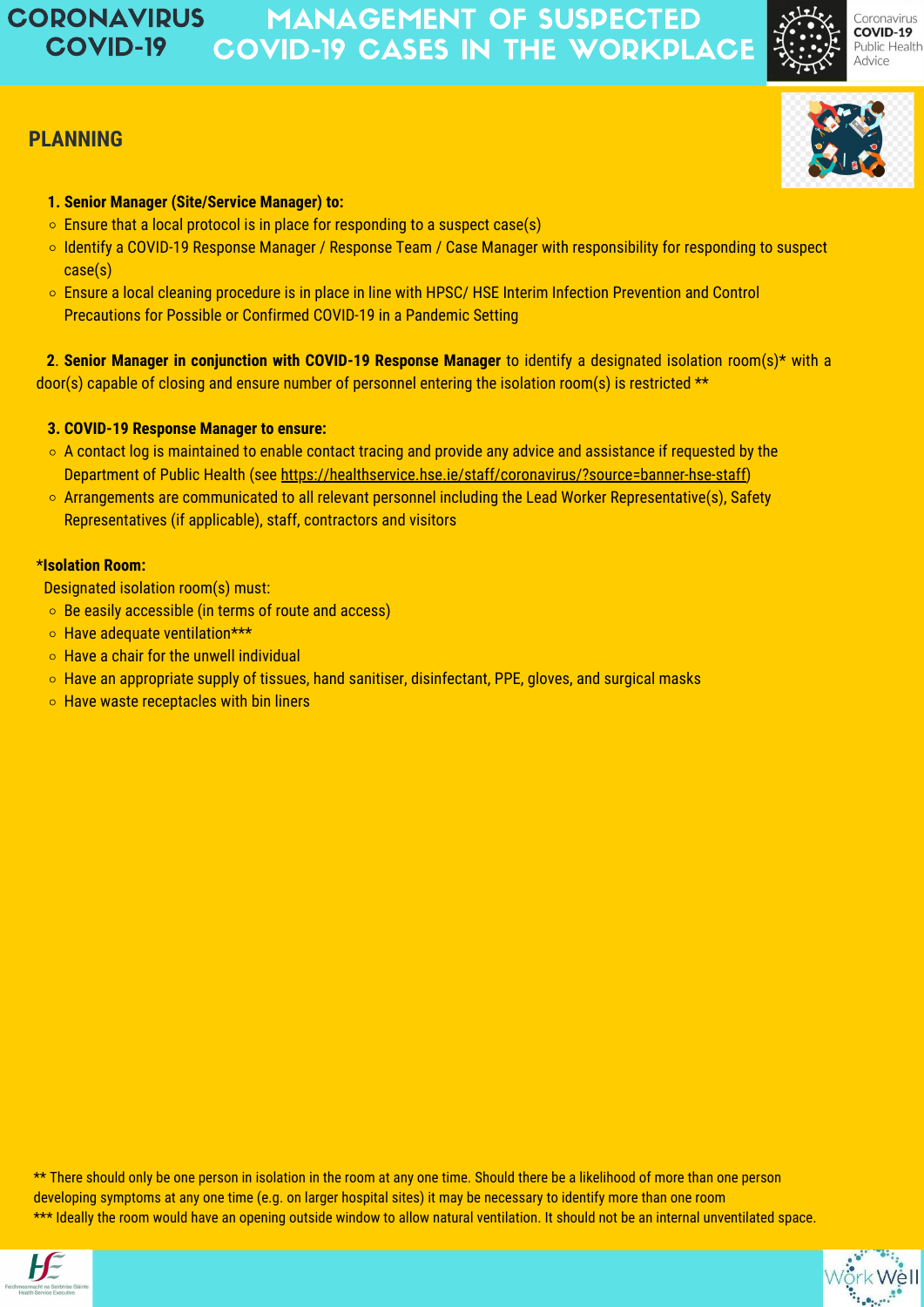- $\circ$  Ensure that a local protocol is in place for responding to a suspect case(s)
- o Identify a COVID-19 Response Manager / Response Team / Case Manager with responsibility for responding to suspect case(s)
- Ensure a local cleaning procedure is in place in line with HPSC/ HSE Interim Infection Prevention and Control Precautions for Possible or Confirmed COVID-19 in a Pandemic Setting

- $\circ$  A contact log is maintained to enable contact tracing and provide any advice and assistance if requested by the Department of Public Health (see [https://healthservice.hse.ie/staff/coronavirus/?source=banner-hse-staff\)](https://healthservice.hse.ie/staff/coronavirus/?source=banner-hse-staff)
- o Arrangements are communicated to all relevant personnel including the Lead Worker Representative(s), Safety Representatives (if applicable), staff, contractors and visitors

## **1. Senior Manager (Site/Service Manager) to:**

**2**. **Senior Manager in conjunction with COVID-19 Response Manager** to identify a designated isolation room(s)\* with a door(s) capable of closing and ensure number of personnel entering the isolation room(s) is restricted \*\*

#### **3. COVID-19 Response Manager to ensure:**

## \***Isolation Room:**

Designated isolation room(s) must:

- Be easily accessible (in terms of route and access)
- o Have adequate ventilation\*\*\*
- $\circ$  Have a chair for the unwell individual
- o Have an appropriate supply of tissues, hand sanitiser, disinfectant, PPE, gloves, and surgical masks
- 





Coronavirus **COVID-19** Public Health **Advice** 

 $\circ$  Have waste receptacles with bin liners

\*\* There should only be one person in isolation in the room at any one time. Should there be a likelihood of more than one person developing symptoms at any one time (e.g. on larger hospital sites) it may be necessary to identify more than one room \*\*\* Ideally the room would have an opening outside window to allow natural ventilation. It should not be an internal unventilated space.





#### MANAGEMENT OF SUSPECTED COVID-19 CASES IN THE WORKPLACE CORONAVIRUS COVID-19

# **PLANNING**